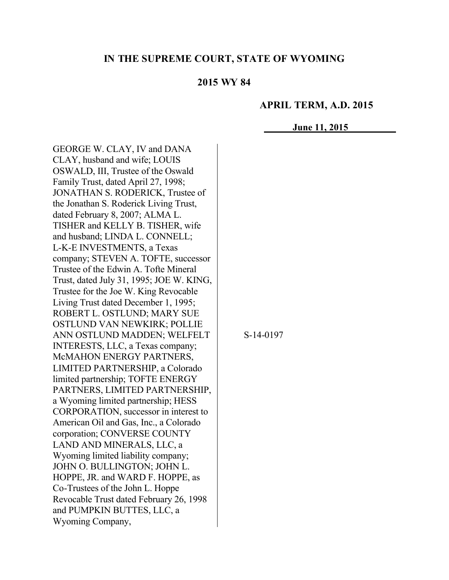### **IN THE SUPREME COURT, STATE OF WYOMING**

### **2015 WY 84**

#### **APRIL TERM, A.D. 2015**

**June 11, 2015**

GEORGE W. CLAY, IV and DANA CLAY, husband and wife; LOUIS OSWALD, III, Trustee of the Oswald Family Trust, dated April 27, 1998; JONATHAN S. RODERICK, Trustee of the Jonathan S. Roderick Living Trust, dated February 8, 2007; ALMA L. TISHER and KELLY B. TISHER, wife and husband; LINDA L. CONNELL; L-K-E INVESTMENTS, a Texas company; STEVEN A. TOFTE, successor Trustee of the Edwin A. Tofte Mineral Trust, dated July 31, 1995; JOE W. KING, Trustee for the Joe W. King Revocable Living Trust dated December 1, 1995; ROBERT L. OSTLUND; MARY SUE OSTLUND VAN NEWKIRK; POLLIE ANN OSTLUND MADDEN; WELFELT INTERESTS, LLC, a Texas company; McMAHON ENERGY PARTNERS, LIMITED PARTNERSHIP, a Colorado limited partnership; TOFTE ENERGY PARTNERS, LIMITED PARTNERSHIP, a Wyoming limited partnership; HESS CORPORATION, successor in interest to American Oil and Gas, Inc., a Colorado corporation; CONVERSE COUNTY LAND AND MINERALS, LLC, a Wyoming limited liability company; JOHN O. BULLINGTON; JOHN L. HOPPE, JR. and WARD F. HOPPE, as Co-Trustees of the John L. Hoppe Revocable Trust dated February 26, 1998 and PUMPKIN BUTTES, LLC, a Wyoming Company,

S-14-0197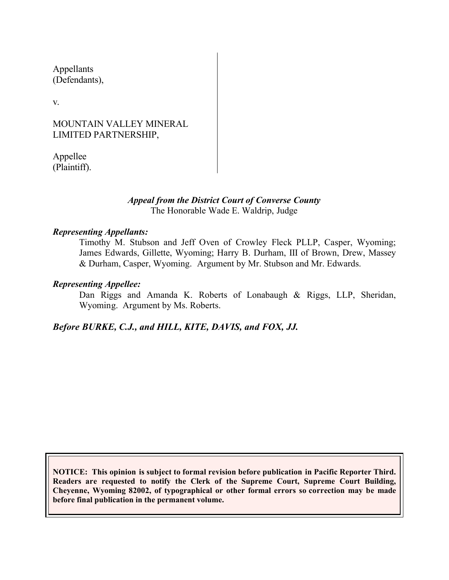Appellants (Defendants),

v.

## MOUNTAIN VALLEY MINERAL LIMITED PARTNERSHIP,

Appellee (Plaintiff).

#### *Appeal from the District Court of Converse County* The Honorable Wade E. Waldrip, Judge

### *Representing Appellants:*

Timothy M. Stubson and Jeff Oven of Crowley Fleck PLLP, Casper, Wyoming; James Edwards, Gillette, Wyoming; Harry B. Durham, III of Brown, Drew, Massey & Durham, Casper, Wyoming. Argument by Mr. Stubson and Mr. Edwards.

### *Representing Appellee:*

Dan Riggs and Amanda K. Roberts of Lonabaugh & Riggs, LLP, Sheridan, Wyoming. Argument by Ms. Roberts.

*Before BURKE, C.J., and HILL, KITE, DAVIS, and FOX, JJ.*

**NOTICE: This opinion is subject to formal revision before publication in Pacific Reporter Third. Readers are requested to notify the Clerk of the Supreme Court, Supreme Court Building, Cheyenne, Wyoming 82002, of typographical or other formal errors so correction may be made before final publication in the permanent volume.**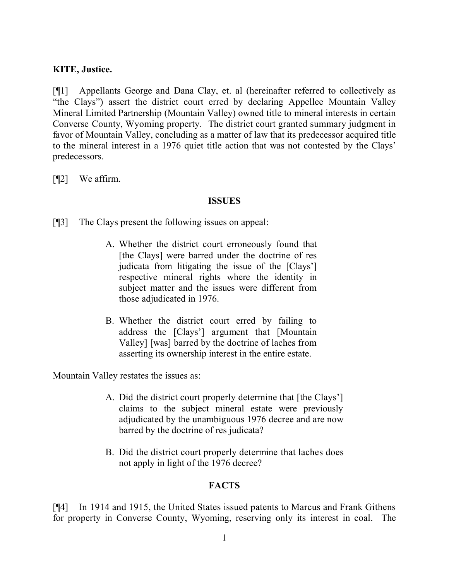## **KITE, Justice.**

[¶1] Appellants George and Dana Clay, et. al (hereinafter referred to collectively as "the Clays") assert the district court erred by declaring Appellee Mountain Valley Mineral Limited Partnership (Mountain Valley) owned title to mineral interests in certain Converse County, Wyoming property. The district court granted summary judgment in favor of Mountain Valley, concluding as a matter of law that its predecessor acquired title to the mineral interest in a 1976 quiet title action that was not contested by the Clays' predecessors.

[¶2] We affirm.

### **ISSUES**

[¶3] The Clays present the following issues on appeal:

- A. Whether the district court erroneously found that [the Clays] were barred under the doctrine of res judicata from litigating the issue of the [Clays'] respective mineral rights where the identity in subject matter and the issues were different from those adjudicated in 1976.
- B. Whether the district court erred by failing to address the [Clays'] argument that [Mountain Valley] [was] barred by the doctrine of laches from asserting its ownership interest in the entire estate.

Mountain Valley restates the issues as:

- A. Did the district court properly determine that [the Clays'] claims to the subject mineral estate were previously adjudicated by the unambiguous 1976 decree and are now barred by the doctrine of res judicata?
- B. Did the district court properly determine that laches does not apply in light of the 1976 decree?

## **FACTS**

[¶4] In 1914 and 1915, the United States issued patents to Marcus and Frank Githens for property in Converse County, Wyoming, reserving only its interest in coal. The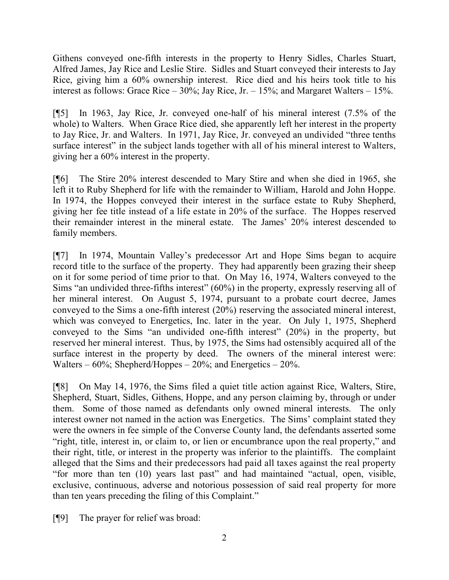Githens conveyed one-fifth interests in the property to Henry Sidles, Charles Stuart, Alfred James, Jay Rice and Leslie Stire. Sidles and Stuart conveyed their interests to Jay Rice, giving him a 60% ownership interest. Rice died and his heirs took title to his interest as follows: Grace Rice –  $30\%$ ; Jay Rice, Jr. –  $15\%$ ; and Margaret Walters –  $15\%$ .

[¶5] In 1963, Jay Rice, Jr. conveyed one-half of his mineral interest (7.5% of the whole) to Walters. When Grace Rice died, she apparently left her interest in the property to Jay Rice, Jr. and Walters. In 1971, Jay Rice, Jr. conveyed an undivided "three tenths surface interest" in the subject lands together with all of his mineral interest to Walters, giving her a 60% interest in the property.

[¶6] The Stire 20% interest descended to Mary Stire and when she died in 1965, she left it to Ruby Shepherd for life with the remainder to William, Harold and John Hoppe. In 1974, the Hoppes conveyed their interest in the surface estate to Ruby Shepherd, giving her fee title instead of a life estate in 20% of the surface. The Hoppes reserved their remainder interest in the mineral estate. The James' 20% interest descended to family members.

[¶7] In 1974, Mountain Valley's predecessor Art and Hope Sims began to acquire record title to the surface of the property. They had apparently been grazing their sheep on it for some period of time prior to that. On May 16, 1974, Walters conveyed to the Sims "an undivided three-fifths interest" (60%) in the property, expressly reserving all of her mineral interest. On August 5, 1974, pursuant to a probate court decree, James conveyed to the Sims a one-fifth interest (20%) reserving the associated mineral interest, which was conveyed to Energetics, Inc. later in the year. On July 1, 1975, Shepherd conveyed to the Sims "an undivided one-fifth interest" (20%) in the property, but reserved her mineral interest. Thus, by 1975, the Sims had ostensibly acquired all of the surface interest in the property by deed. The owners of the mineral interest were: Walters –  $60\%$ ; Shepherd/Hoppes –  $20\%$ ; and Energetics –  $20\%$ .

[¶8] On May 14, 1976, the Sims filed a quiet title action against Rice, Walters, Stire, Shepherd, Stuart, Sidles, Githens, Hoppe, and any person claiming by, through or under them. Some of those named as defendants only owned mineral interests. The only interest owner not named in the action was Energetics. The Sims' complaint stated they were the owners in fee simple of the Converse County land, the defendants asserted some "right, title, interest in, or claim to, or lien or encumbrance upon the real property," and their right, title, or interest in the property was inferior to the plaintiffs. The complaint alleged that the Sims and their predecessors had paid all taxes against the real property "for more than ten (10) years last past" and had maintained "actual, open, visible, exclusive, continuous, adverse and notorious possession of said real property for more than ten years preceding the filing of this Complaint."

[¶9] The prayer for relief was broad: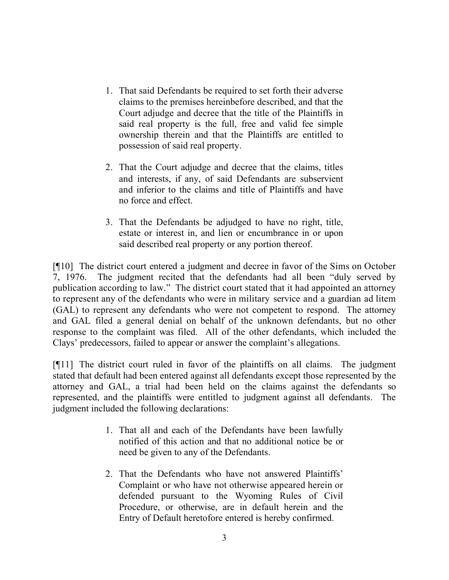- 1. That said Defendants be required to set forth their adverse claims to the premises hereinbefore described, and that the Court adjudge and decree that the title of the Plaintiffs in said real property is the full, free and valid fee simple ownership therein and that the Plaintiffs are entitled to possession of said real property.
- 2. That the Court adjudge and decree that the claims, titles and interests, if any, of said Defendants are subservient and inferior to the claims and title of Plaintiffs and have no force and effect.
- 3. That the Defendants be adjudged to have no right, title, estate or interest in, and lien or encumbrance in or upon said described real property or any portion thereof.

[¶10] The district court entered a judgment and decree in favor of the Sims on October 7, 1976. The judgment recited that the defendants had all been "duly served by publication according to law." The district court stated that it had appointed an attorney to represent any of the defendants who were in military service and a guardian ad litem (GAL) to represent any defendants who were not competent to respond. The attorney and GAL filed a general denial on behalf of the unknown defendants, but no other response to the complaint was filed. All of the other defendants, which included the Clays' predecessors, failed to appear or answer the complaint's allegations.

[¶11] The district court ruled in favor of the plaintiffs on all claims. The judgment stated that default had been entered against all defendants except those represented by the attorney and GAL, a trial had been held on the claims against the defendants so represented, and the plaintiffs were entitled to judgment against all defendants. The judgment included the following declarations:

- 1. That all and each of the Defendants have been lawfully notified of this action and that no additional notice be or need be given to any of the Defendants.
- 2. That the Defendants who have not answered Plaintiffs' Complaint or who have not otherwise appeared herein or defended pursuant to the Wyoming Rules of Civil Procedure, or otherwise, are in default herein and the Entry of Default heretofore entered is hereby confirmed.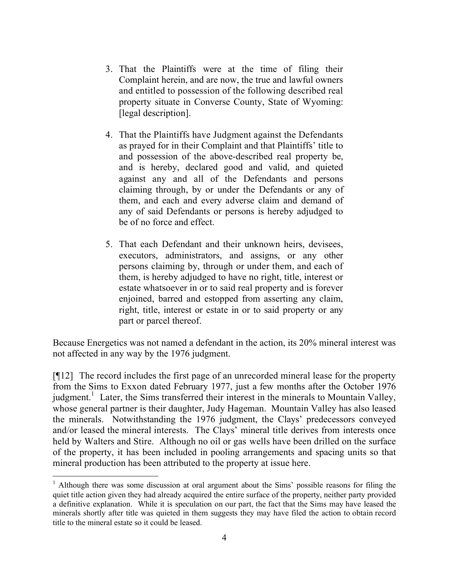- 3. That the Plaintiffs were at the time of filing their Complaint herein, and are now, the true and lawful owners and entitled to possession of the following described real property situate in Converse County, State of Wyoming: [legal description].
- 4. That the Plaintiffs have Judgment against the Defendants as prayed for in their Complaint and that Plaintiffs' title to and possession of the above-described real property be, and is hereby, declared good and valid, and quieted against any and all of the Defendants and persons claiming through, by or under the Defendants or any of them, and each and every adverse claim and demand of any of said Defendants or persons is hereby adjudged to be of no force and effect.
- 5. That each Defendant and their unknown heirs, devisees, executors, administrators, and assigns, or any other persons claiming by, through or under them, and each of them, is hereby adjudged to have no right, title, interest or estate whatsoever in or to said real property and is forever enjoined, barred and estopped from asserting any claim, right, title, interest or estate in or to said property or any part or parcel thereof.

Because Energetics was not named a defendant in the action, its 20% mineral interest was not affected in any way by the 1976 judgment.

[¶12] The record includes the first page of an unrecorded mineral lease for the property from the Sims to Exxon dated February 1977, just a few months after the October 1976 judgment.<sup>1</sup> Later, the Sims transferred their interest in the minerals to Mountain Valley, whose general partner is their daughter, Judy Hageman. Mountain Valley has also leased the minerals. Notwithstanding the 1976 judgment, the Clays' predecessors conveyed and/or leased the mineral interests. The Clays' mineral title derives from interests once held by Walters and Stire. Although no oil or gas wells have been drilled on the surface of the property, it has been included in pooling arrangements and spacing units so that mineral production has been attributed to the property at issue here.

 $1$  Although there was some discussion at oral argument about the Sims' possible reasons for filing the quiet title action given they had already acquired the entire surface of the property, neither party provided a definitive explanation. While it is speculation on our part, the fact that the Sims may have leased the minerals shortly after title was quieted in them suggests they may have filed the action to obtain record title to the mineral estate so it could be leased.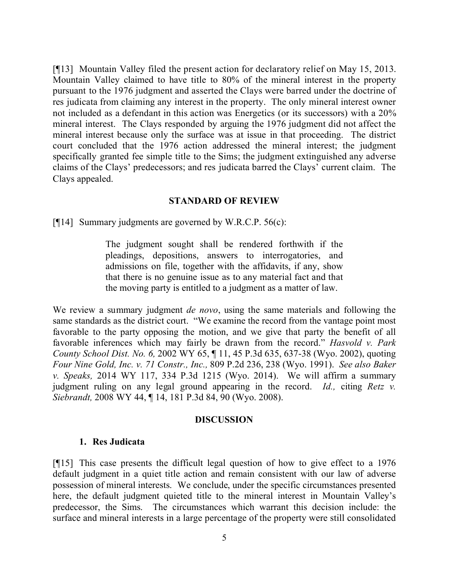[¶13] Mountain Valley filed the present action for declaratory relief on May 15, 2013. Mountain Valley claimed to have title to 80% of the mineral interest in the property pursuant to the 1976 judgment and asserted the Clays were barred under the doctrine of res judicata from claiming any interest in the property. The only mineral interest owner not included as a defendant in this action was Energetics (or its successors) with a 20% mineral interest. The Clays responded by arguing the 1976 judgment did not affect the mineral interest because only the surface was at issue in that proceeding. The district court concluded that the 1976 action addressed the mineral interest; the judgment specifically granted fee simple title to the Sims; the judgment extinguished any adverse claims of the Clays' predecessors; and res judicata barred the Clays' current claim. The Clays appealed.

#### **STANDARD OF REVIEW**

[ $[$ [14] Summary judgments are governed by W.R.C.P. 56(c):

The judgment sought shall be rendered forthwith if the pleadings, depositions, answers to interrogatories, and admissions on file, together with the affidavits, if any, show that there is no genuine issue as to any material fact and that the moving party is entitled to a judgment as a matter of law.

We review a summary judgment *de novo*, using the same materials and following the same standards as the district court. "We examine the record from the vantage point most favorable to the party opposing the motion, and we give that party the benefit of all favorable inferences which may fairly be drawn from the record." *Hasvold v. Park County School Dist. No. 6,* 2002 WY 65, ¶ 11, 45 P.3d 635, 637-38 (Wyo. 2002), quoting *Four Nine Gold, Inc. v. 71 Constr., Inc.,* 809 P.2d 236, 238 (Wyo. 1991). *See also Baker v. Speaks,* 2014 WY 117, 334 P.3d 1215 (Wyo. 2014). We will affirm a summary judgment ruling on any legal ground appearing in the record. *Id.,* citing *Retz v. Siebrandt,* 2008 WY 44, ¶ 14, 181 P.3d 84, 90 (Wyo. 2008).

#### **DISCUSSION**

#### **1. Res Judicata**

[¶15] This case presents the difficult legal question of how to give effect to a 1976 default judgment in a quiet title action and remain consistent with our law of adverse possession of mineral interests. We conclude, under the specific circumstances presented here, the default judgment quieted title to the mineral interest in Mountain Valley's predecessor, the Sims. The circumstances which warrant this decision include: the surface and mineral interests in a large percentage of the property were still consolidated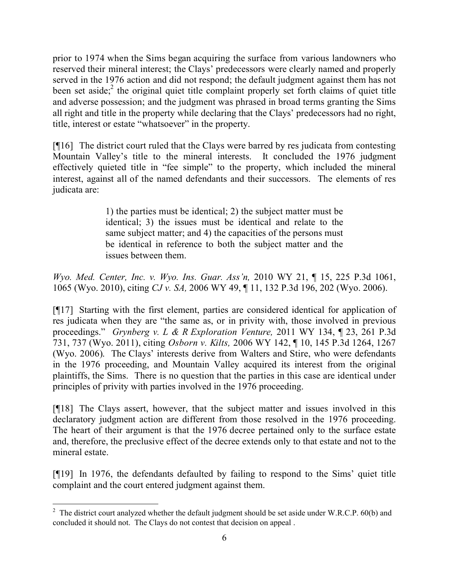prior to 1974 when the Sims began acquiring the surface from various landowners who reserved their mineral interest; the Clays' predecessors were clearly named and properly served in the 1976 action and did not respond; the default judgment against them has not been set aside;<sup>2</sup> the original quiet title complaint properly set forth claims of quiet title and adverse possession; and the judgment was phrased in broad terms granting the Sims all right and title in the property while declaring that the Clays' predecessors had no right, title, interest or estate "whatsoever" in the property.

[¶16] The district court ruled that the Clays were barred by res judicata from contesting Mountain Valley's title to the mineral interests. It concluded the 1976 judgment effectively quieted title in "fee simple" to the property, which included the mineral interest, against all of the named defendants and their successors. The elements of res judicata are:

> 1) the parties must be identical; 2) the subject matter must be identical; 3) the issues must be identical and relate to the same subject matter; and 4) the capacities of the persons must be identical in reference to both the subject matter and the issues between them.

*Wyo. Med. Center, Inc. v. Wyo. Ins. Guar. Ass'n,* 2010 WY 21, ¶ 15, 225 P.3d 1061, 1065 (Wyo. 2010), citing *CJ v. SA,* 2006 WY 49, ¶ 11, 132 P.3d 196, 202 (Wyo. 2006).

[¶17] Starting with the first element, parties are considered identical for application of res judicata when they are "the same as, or in privity with, those involved in previous proceedings." *Grynberg v. L & R Exploration Venture,* 2011 WY 134, ¶ 23, 261 P.3d 731, 737 (Wyo. 2011), citing *Osborn v. Kilts,* 2006 WY 142, ¶ 10, 145 P.3d 1264, 1267 (Wyo. 2006). The Clays' interests derive from Walters and Stire, who were defendants in the 1976 proceeding, and Mountain Valley acquired its interest from the original plaintiffs, the Sims. There is no question that the parties in this case are identical under principles of privity with parties involved in the 1976 proceeding.

[¶18] The Clays assert, however, that the subject matter and issues involved in this declaratory judgment action are different from those resolved in the 1976 proceeding. The heart of their argument is that the 1976 decree pertained only to the surface estate and, therefore, the preclusive effect of the decree extends only to that estate and not to the mineral estate.

[¶19] In 1976, the defendants defaulted by failing to respond to the Sims' quiet title complaint and the court entered judgment against them.

<sup>&</sup>lt;sup>2</sup> The district court analyzed whether the default judgment should be set aside under W.R.C.P. 60(b) and concluded it should not. The Clays do not contest that decision on appeal .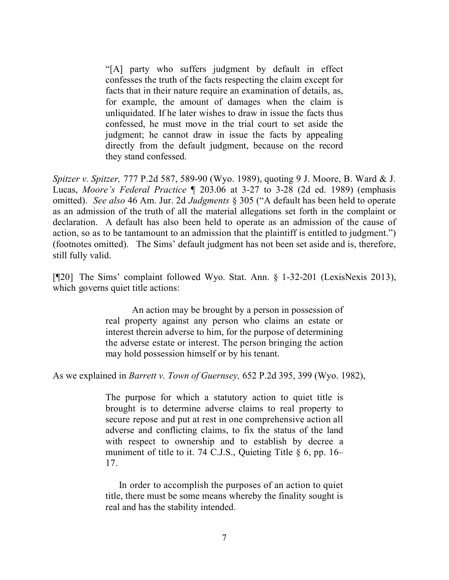"[A] party who suffers judgment by default in effect confesses the truth of the facts respecting the claim except for facts that in their nature require an examination of details, as, for example, the amount of damages when the claim is unliquidated. If he later wishes to draw in issue the facts thus confessed, he must move in the trial court to set aside the judgment; he cannot draw in issue the facts by appealing directly from the default judgment, because on the record they stand confessed.

*Spitzer v. Spitzer,* 777 P.2d 587, 589-90 (Wyo. 1989), quoting 9 J. Moore, B. Ward & J. Lucas, *Moore's Federal Practice* ¶ 203.06 at 3-27 to 3-28 (2d ed. 1989) (emphasis omitted). *See also* 46 Am. Jur. 2d *Judgments* § 305 ("A default has been held to operate as an admission of the truth of all the material allegations set forth in the complaint or declaration. A default has also been held to operate as an admission of the cause of action, so as to be tantamount to an admission that the plaintiff is entitled to judgment.") (footnotes omitted). The Sims' default judgment has not been set aside and is, therefore, still fully valid.

[¶20] The Sims' complaint followed Wyo. Stat. Ann. § 1-32-201 (LexisNexis 2013), which governs quiet title actions:

> An action may be brought by a person in possession of real property against any person who claims an estate or interest therein adverse to him, for the purpose of determining the adverse estate or interest. The person bringing the action may hold possession himself or by his tenant.

As we explained in *Barrett v. Town of Guernsey,* 652 P.2d 395, 399 (Wyo. 1982),

The purpose for which a statutory action to quiet title is brought is to determine adverse claims to real property to secure repose and put at rest in one comprehensive action all adverse and conflicting claims, to fix the status of the land with respect to ownership and to establish by decree a muniment of title to it. 74 C.J.S., Quieting Title  $\S$  6, pp. 16– 17.

In order to accomplish the purposes of an action to quiet title, there must be some means whereby the finality sought is real and has the stability intended.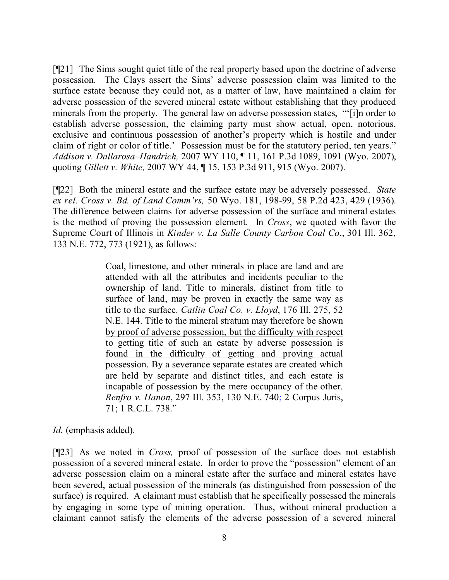[¶21] The Sims sought quiet title of the real property based upon the doctrine of adverse possession. The Clays assert the Sims' adverse possession claim was limited to the surface estate because they could not, as a matter of law, have maintained a claim for adverse possession of the severed mineral estate without establishing that they produced minerals from the property. The general law on adverse possession states, "'[i]n order to establish adverse possession, the claiming party must show actual, open, notorious, exclusive and continuous possession of another's property which is hostile and under claim of right or color of title.' Possession must be for the statutory period, ten years." *Addison v. Dallarosa–Handrich,* 2007 WY 110, ¶ 11, 161 P.3d 1089, 1091 (Wyo. 2007), quoting *Gillett v. White,* 2007 WY 44, ¶ 15, 153 P.3d 911, 915 (Wyo. 2007).

[¶22] Both the mineral estate and the surface estate may be adversely possessed. *State ex rel. Cross v. Bd. of Land Comm'rs,* 50 Wyo. 181, 198-99, 58 P.2d 423, 429 (1936). The difference between claims for adverse possession of the surface and mineral estates is the method of proving the possession element. In *Cross*, we quoted with favor the Supreme Court of Illinois in *Kinder v. La Salle County Carbon Coal Co*., 301 Ill. 362, 133 N.E. 772, 773 (1921), as follows:

> Coal, limestone, and other minerals in place are land and are attended with all the attributes and incidents peculiar to the ownership of land. Title to minerals, distinct from title to surface of land, may be proven in exactly the same way as title to the surface. *Catlin Coal Co. v. Lloyd*, 176 Ill. 275, 52 N.E. 144. Title to the mineral stratum may therefore be shown by proof of adverse possession, but the difficulty with respect to getting title of such an estate by adverse possession is found in the difficulty of getting and proving actual possession. By a severance separate estates are created which are held by separate and distinct titles, and each estate is incapable of possession by the mere occupancy of the other. *Renfro v. Hanon*, 297 Ill. 353, 130 N.E. 740; 2 Corpus Juris, 71; 1 R.C.L. 738."

*Id.* (emphasis added).

[¶23] As we noted in *Cross,* proof of possession of the surface does not establish possession of a severed mineral estate. In order to prove the "possession" element of an adverse possession claim on a mineral estate after the surface and mineral estates have been severed, actual possession of the minerals (as distinguished from possession of the surface) is required. A claimant must establish that he specifically possessed the minerals by engaging in some type of mining operation. Thus, without mineral production a claimant cannot satisfy the elements of the adverse possession of a severed mineral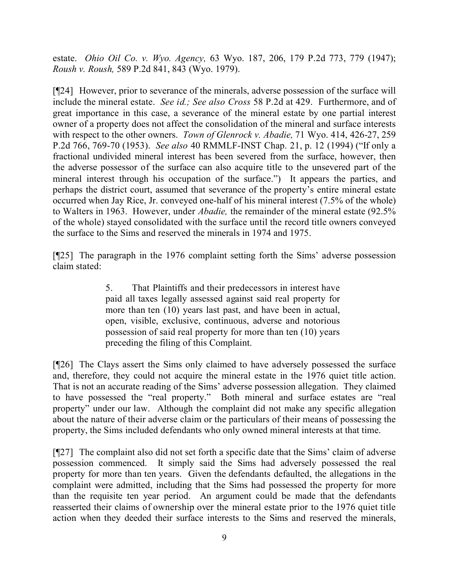estate. *Ohio Oil Co. v. Wyo. Agency,* 63 Wyo. 187, 206, 179 P.2d 773, 779 (1947); *Roush v. Roush,* 589 P.2d 841, 843 (Wyo. 1979).

[¶24] However, prior to severance of the minerals, adverse possession of the surface will include the mineral estate. *See id.; See also Cross* 58 P.2d at 429.Furthermore, and of great importance in this case, a severance of the mineral estate by one partial interest owner of a property does not affect the consolidation of the mineral and surface interests with respect to the other owners. *Town of Glenrock v. Abadie,* 71 Wyo. 414, 426-27, 259 P.2d 766, 769-70 (1953). *See also* 40 RMMLF-INST Chap. 21, p. 12 (1994) ("If only a fractional undivided mineral interest has been severed from the surface, however, then the adverse possessor of the surface can also acquire title to the unsevered part of the mineral interest through his occupation of the surface.") It appears the parties, and perhaps the district court, assumed that severance of the property's entire mineral estate occurred when Jay Rice, Jr. conveyed one-half of his mineral interest (7.5% of the whole) to Walters in 1963. However, under *Abadie,* the remainder of the mineral estate (92.5% of the whole) stayed consolidated with the surface until the record title owners conveyed the surface to the Sims and reserved the minerals in 1974 and 1975.

[¶25] The paragraph in the 1976 complaint setting forth the Sims' adverse possession claim stated:

> 5. That Plaintiffs and their predecessors in interest have paid all taxes legally assessed against said real property for more than ten (10) years last past, and have been in actual, open, visible, exclusive, continuous, adverse and notorious possession of said real property for more than ten (10) years preceding the filing of this Complaint.

[¶26] The Clays assert the Sims only claimed to have adversely possessed the surface and, therefore, they could not acquire the mineral estate in the 1976 quiet title action. That is not an accurate reading of the Sims' adverse possession allegation. They claimed to have possessed the "real property." Both mineral and surface estates are "real property" under our law. Although the complaint did not make any specific allegation about the nature of their adverse claim or the particulars of their means of possessing the property, the Sims included defendants who only owned mineral interests at that time.

[¶27] The complaint also did not set forth a specific date that the Sims' claim of adverse possession commenced. It simply said the Sims had adversely possessed the real property for more than ten years. Given the defendants defaulted, the allegations in the complaint were admitted, including that the Sims had possessed the property for more than the requisite ten year period. An argument could be made that the defendants reasserted their claims of ownership over the mineral estate prior to the 1976 quiet title action when they deeded their surface interests to the Sims and reserved the minerals,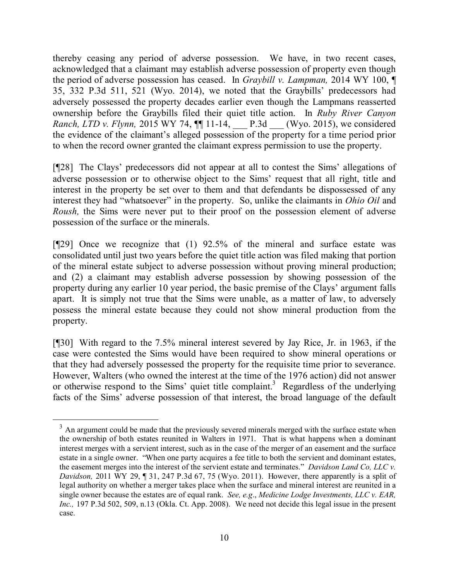thereby ceasing any period of adverse possession. We have, in two recent cases, acknowledged that a claimant may establish adverse possession of property even though the period of adverse possession has ceased. In *Graybill v. Lampman,* 2014 WY 100, ¶ 35, 332 P.3d 511, 521 (Wyo. 2014), we noted that the Graybills' predecessors had adversely possessed the property decades earlier even though the Lampmans reasserted ownership before the Graybills filed their quiet title action. In *Ruby River Canyon Ranch, LTD v. Flynn,* 2015 WY 74,  $\P$ [11-14, P.3d (Wyo. 2015), we considered the evidence of the claimant's alleged possession of the property for a time period prior to when the record owner granted the claimant express permission to use the property.

[¶28] The Clays' predecessors did not appear at all to contest the Sims' allegations of adverse possession or to otherwise object to the Sims' request that all right, title and interest in the property be set over to them and that defendants be dispossessed of any interest they had "whatsoever" in the property. So, unlike the claimants in *Ohio Oil* and *Roush,* the Sims were never put to their proof on the possession element of adverse possession of the surface or the minerals.

[¶29] Once we recognize that (1) 92.5% of the mineral and surface estate was consolidated until just two years before the quiet title action was filed making that portion of the mineral estate subject to adverse possession without proving mineral production; and (2) a claimant may establish adverse possession by showing possession of the property during any earlier 10 year period, the basic premise of the Clays' argument falls apart. It is simply not true that the Sims were unable, as a matter of law, to adversely possess the mineral estate because they could not show mineral production from the property.

[¶30] With regard to the 7.5% mineral interest severed by Jay Rice, Jr. in 1963, if the case were contested the Sims would have been required to show mineral operations or that they had adversely possessed the property for the requisite time prior to severance. However, Walters (who owned the interest at the time of the 1976 action) did not answer or otherwise respond to the Sims' quiet title complaint.<sup>3</sup> Regardless of the underlying facts of the Sims' adverse possession of that interest, the broad language of the default

 $3$  An argument could be made that the previously severed minerals merged with the surface estate when the ownership of both estates reunited in Walters in 1971. That is what happens when a dominant interest merges with a servient interest, such as in the case of the merger of an easement and the surface estate in a single owner. "When one party acquires a fee title to both the servient and dominant estates, the easement merges into the interest of the servient estate and terminates." *Davidson Land Co, LLC v. Davidson,* 2011 WY 29, ¶ 31, 247 P.3d 67, 75 (Wyo. 2011). However, there apparently is a split of legal authority on whether a merger takes place when the surface and mineral interest are reunited in a single owner because the estates are of equal rank. *See, e.g*., *Medicine Lodge Investments, LLC v. EAR, Inc.,* 197 P.3d 502, 509, n.13 (Okla. Ct. App. 2008). We need not decide this legal issue in the present case.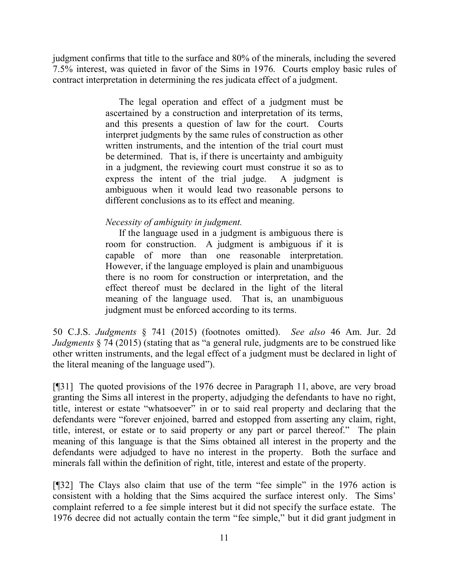judgment confirms that title to the surface and 80% of the minerals, including the severed 7.5% interest, was quieted in favor of the Sims in 1976. Courts employ basic rules of contract interpretation in determining the res judicata effect of a judgment.

> The legal operation and effect of a judgment must be ascertained by a construction and interpretation of its terms, and this presents a question of law for the court. Courts interpret judgments by the same rules of construction as other written instruments, and the intention of the trial court must be determined. That is, if there is uncertainty and ambiguity in a judgment, the reviewing court must construe it so as to express the intent of the trial judge. A judgment is ambiguous when it would lead two reasonable persons to different conclusions as to its effect and meaning.

## *Necessity of ambiguity in judgment.*

If the language used in a judgment is ambiguous there is room for construction. A judgment is ambiguous if it is capable of more than one reasonable interpretation. However, if the language employed is plain and unambiguous there is no room for construction or interpretation, and the effect thereof must be declared in the light of the literal meaning of the language used. That is, an unambiguous judgment must be enforced according to its terms.

50 C.J.S. *Judgments* § 741 (2015) (footnotes omitted). *See also* 46 Am. Jur. 2d *Judgments §* 74 (2015) (stating that as "a general rule, judgments are to be construed like other written instruments, and the legal effect of a judgment must be declared in light of the literal meaning of the language used").

[¶31] The quoted provisions of the 1976 decree in Paragraph 11, above, are very broad granting the Sims all interest in the property, adjudging the defendants to have no right, title, interest or estate "whatsoever" in or to said real property and declaring that the defendants were "forever enjoined, barred and estopped from asserting any claim, right, title, interest, or estate or to said property or any part or parcel thereof." The plain meaning of this language is that the Sims obtained all interest in the property and the defendants were adjudged to have no interest in the property. Both the surface and minerals fall within the definition of right, title, interest and estate of the property.

[¶32] The Clays also claim that use of the term "fee simple" in the 1976 action is consistent with a holding that the Sims acquired the surface interest only. The Sims' complaint referred to a fee simple interest but it did not specify the surface estate. The 1976 decree did not actually contain the term "fee simple," but it did grant judgment in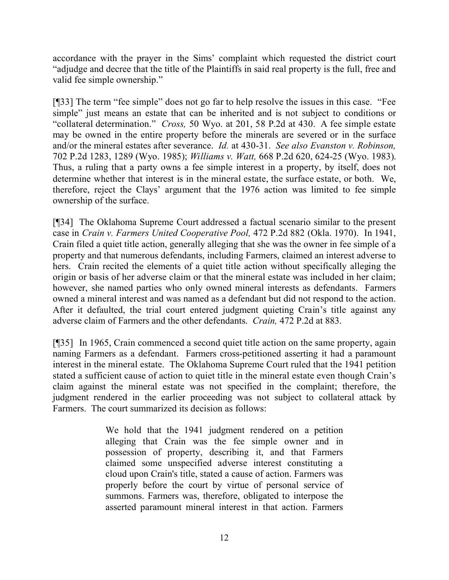accordance with the prayer in the Sims' complaint which requested the district court "adjudge and decree that the title of the Plaintiffs in said real property is the full, free and valid fee simple ownership."

[¶33] The term "fee simple" does not go far to help resolve the issues in this case. "Fee simple" just means an estate that can be inherited and is not subject to conditions or "collateral determination." *Cross,* 50 Wyo. at 201, 58 P.2d at 430. A fee simple estate may be owned in the entire property before the minerals are severed or in the surface and/or the mineral estates after severance. *Id.* at 430-31. *See also Evanston v. Robinson,*  702 P.2d 1283, 1289 (Wyo. 1985); *Williams v. Watt,* 668 P.2d 620, 624-25 (Wyo. 1983). Thus, a ruling that a party owns a fee simple interest in a property, by itself, does not determine whether that interest is in the mineral estate, the surface estate, or both. We, therefore, reject the Clays' argument that the 1976 action was limited to fee simple ownership of the surface.

[¶34] The Oklahoma Supreme Court addressed a factual scenario similar to the present case in *Crain v. Farmers United Cooperative Pool,* 472 P.2d 882 (Okla. 1970). In 1941, Crain filed a quiet title action, generally alleging that she was the owner in fee simple of a property and that numerous defendants, including Farmers, claimed an interest adverse to hers. Crain recited the elements of a quiet title action without specifically alleging the origin or basis of her adverse claim or that the mineral estate was included in her claim; however, she named parties who only owned mineral interests as defendants. Farmers owned a mineral interest and was named as a defendant but did not respond to the action. After it defaulted, the trial court entered judgment quieting Crain's title against any adverse claim of Farmers and the other defendants. *Crain,* 472 P.2d at 883.

[¶35] In 1965, Crain commenced a second quiet title action on the same property, again naming Farmers as a defendant. Farmers cross-petitioned asserting it had a paramount interest in the mineral estate. The Oklahoma Supreme Court ruled that the 1941 petition stated a sufficient cause of action to quiet title in the mineral estate even though Crain's claim against the mineral estate was not specified in the complaint; therefore, the judgment rendered in the earlier proceeding was not subject to collateral attack by Farmers. The court summarized its decision as follows:

> We hold that the 1941 judgment rendered on a petition alleging that Crain was the fee simple owner and in possession of property, describing it, and that Farmers claimed some unspecified adverse interest constituting a cloud upon Crain's title, stated a cause of action. Farmers was properly before the court by virtue of personal service of summons. Farmers was, therefore, obligated to interpose the asserted paramount mineral interest in that action. Farmers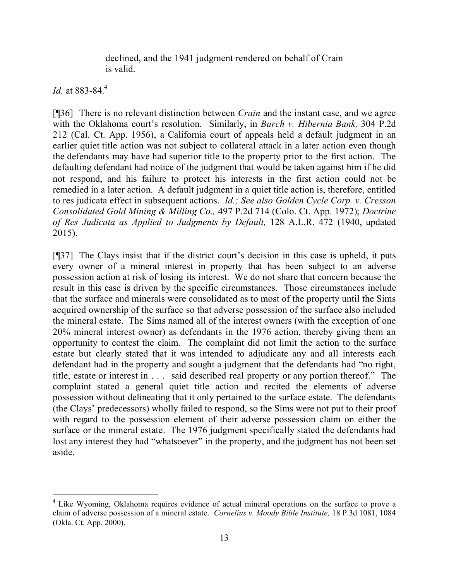declined, and the 1941 judgment rendered on behalf of Crain is valid.

*Id.* at 883-84.<sup>4</sup>

[¶36] There is no relevant distinction between *Crain* and the instant case, and we agree with the Oklahoma court's resolution. Similarly, in *Burch v. Hibernia Bank,* 304 P.2d 212 (Cal. Ct. App. 1956), a California court of appeals held a default judgment in an earlier quiet title action was not subject to collateral attack in a later action even though the defendants may have had superior title to the property prior to the first action. The defaulting defendant had notice of the judgment that would be taken against him if he did not respond, and his failure to protect his interests in the first action could not be remedied in a later action. A default judgment in a quiet title action is, therefore, entitled to res judicata effect in subsequent actions. *Id.; See also Golden Cycle Corp. v. Cresson Consolidated Gold Mining & Milling Co.,* 497 P.2d 714 (Colo. Ct. App. 1972); *Doctrine of Res Judicata as Applied to Judgments by Default,* 128 A.L.R. 472 (1940, updated 2015).

[¶37] The Clays insist that if the district court's decision in this case is upheld, it puts every owner of a mineral interest in property that has been subject to an adverse possession action at risk of losing its interest. We do not share that concern because the result in this case is driven by the specific circumstances. Those circumstances include that the surface and minerals were consolidated as to most of the property until the Sims acquired ownership of the surface so that adverse possession of the surface also included the mineral estate. The Sims named all of the interest owners (with the exception of one 20% mineral interest owner) as defendants in the 1976 action, thereby giving them an opportunity to contest the claim. The complaint did not limit the action to the surface estate but clearly stated that it was intended to adjudicate any and all interests each defendant had in the property and sought a judgment that the defendants had "no right, title, estate or interest in . . . said described real property or any portion thereof." The complaint stated a general quiet title action and recited the elements of adverse possession without delineating that it only pertained to the surface estate. The defendants (the Clays' predecessors) wholly failed to respond, so the Sims were not put to their proof with regard to the possession element of their adverse possession claim on either the surface or the mineral estate. The 1976 judgment specifically stated the defendants had lost any interest they had "whatsoever" in the property, and the judgment has not been set aside.

 <sup>4</sup> Like Wyoming, Oklahoma requires evidence of actual mineral operations on the surface to prove a claim of adverse possession of a mineral estate. *Cornelius v. Moody Bible Institute,* 18 P.3d 1081, 1084 (Okla. Ct. App. 2000).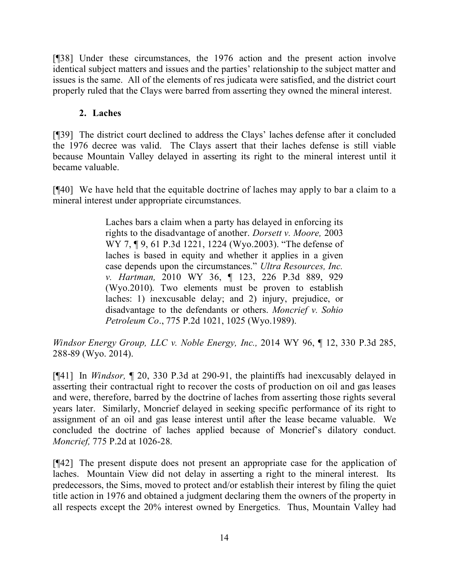[¶38] Under these circumstances, the 1976 action and the present action involve identical subject matters and issues and the parties' relationship to the subject matter and issues is the same. All of the elements of res judicata were satisfied, and the district court properly ruled that the Clays were barred from asserting they owned the mineral interest.

# **2. Laches**

[¶39] The district court declined to address the Clays' laches defense after it concluded the 1976 decree was valid. The Clays assert that their laches defense is still viable because Mountain Valley delayed in asserting its right to the mineral interest until it became valuable.

[¶40] We have held that the equitable doctrine of laches may apply to bar a claim to a mineral interest under appropriate circumstances.

> Laches bars a claim when a party has delayed in enforcing its rights to the disadvantage of another. *Dorsett v. Moore,* 2003 WY 7, ¶ 9, 61 P.3d 1221, 1224 (Wyo.2003). "The defense of laches is based in equity and whether it applies in a given case depends upon the circumstances." *Ultra Resources, Inc. v. Hartman,* 2010 WY 36, ¶ 123, 226 P.3d 889, 929 (Wyo.2010). Two elements must be proven to establish laches: 1) inexcusable delay; and 2) injury, prejudice, or disadvantage to the defendants or others. *Moncrief v. Sohio Petroleum Co*., 775 P.2d 1021, 1025 (Wyo.1989).

*Windsor Energy Group, LLC v. Noble Energy, Inc.,* 2014 WY 96, ¶ 12, 330 P.3d 285, 288-89 (Wyo. 2014).

[¶41] In *Windsor,* ¶ 20, 330 P.3d at 290-91, the plaintiffs had inexcusably delayed in asserting their contractual right to recover the costs of production on oil and gas leases and were, therefore, barred by the doctrine of laches from asserting those rights several years later. Similarly, Moncrief delayed in seeking specific performance of its right to assignment of an oil and gas lease interest until after the lease became valuable. We concluded the doctrine of laches applied because of Moncrief's dilatory conduct. *Moncrief,* 775 P.2d at 1026-28.

[¶42] The present dispute does not present an appropriate case for the application of laches. Mountain View did not delay in asserting a right to the mineral interest. Its predecessors, the Sims, moved to protect and/or establish their interest by filing the quiet title action in 1976 and obtained a judgment declaring them the owners of the property in all respects except the 20% interest owned by Energetics. Thus, Mountain Valley had